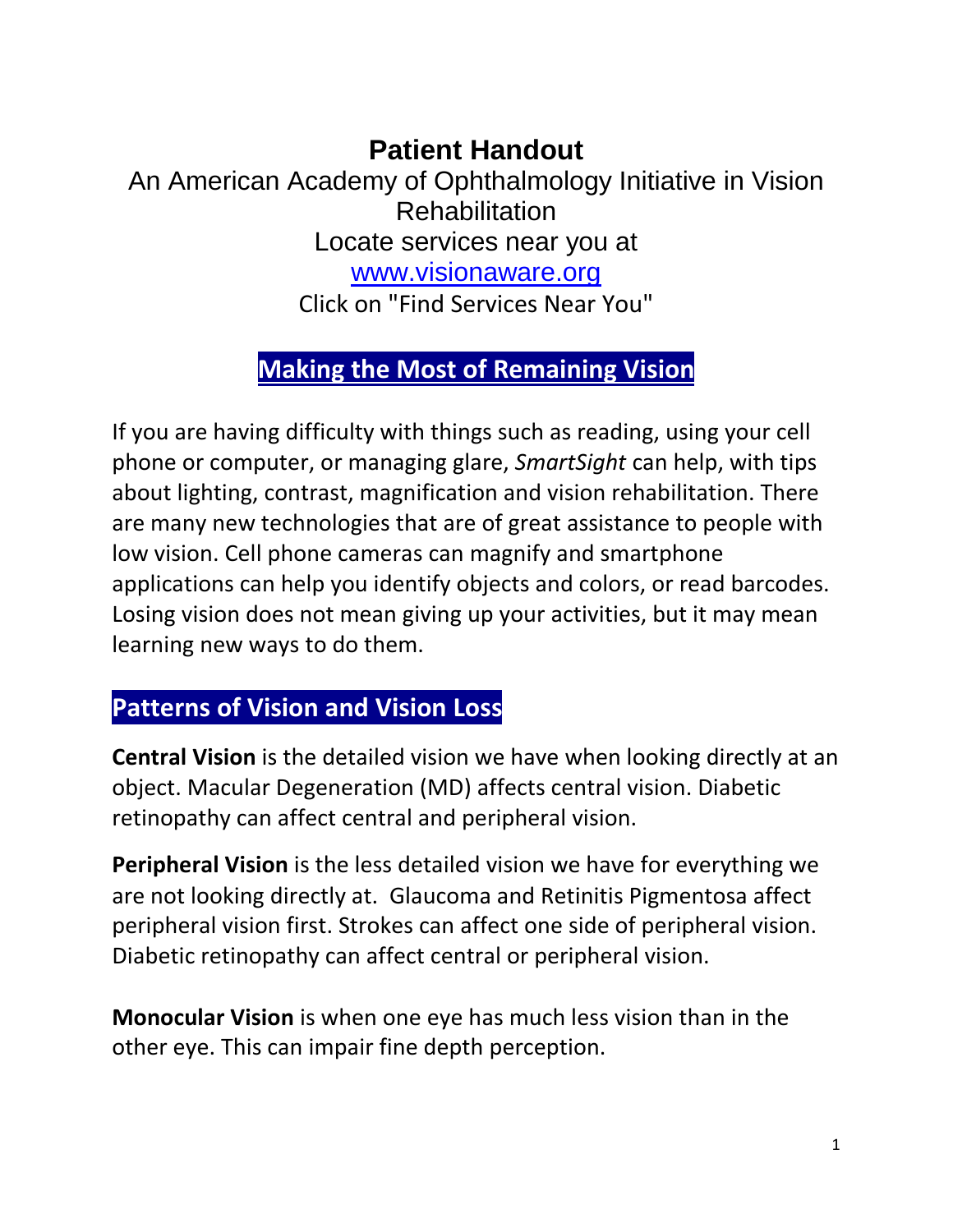# **Patient Handout**

An American Academy of Ophthalmology Initiative in Vision **Rehabilitation** Locate services near you at

[www.visionaware.org](http://www.visionaware.org/)

Click on "Find Services Near You"

# **Making the Most of Remaining Vision**

If you are having difficulty with things such as reading, using your cell phone or computer, or managing glare, *SmartSight* can help, with tips about lighting, contrast, magnification and vision rehabilitation. There are many new technologies that are of great assistance to people with low vision. Cell phone cameras can magnify and smartphone applications can help you identify objects and colors, or read barcodes. Losing vision does not mean giving up your activities, but it may mean learning new ways to do them.

## **Patterns of Vision and Vision Loss**

**Central Vision** is the detailed vision we have when looking directly at an object. Macular Degeneration (MD) affects central vision. Diabetic retinopathy can affect central and peripheral vision.

**Peripheral Vision** is the less detailed vision we have for everything we are not looking directly at. Glaucoma and Retinitis Pigmentosa affect peripheral vision first. Strokes can affect one side of peripheral vision. Diabetic retinopathy can affect central or peripheral vision.

**Monocular Vision** is when one eye has much less vision than in the other eye. This can impair fine depth perception.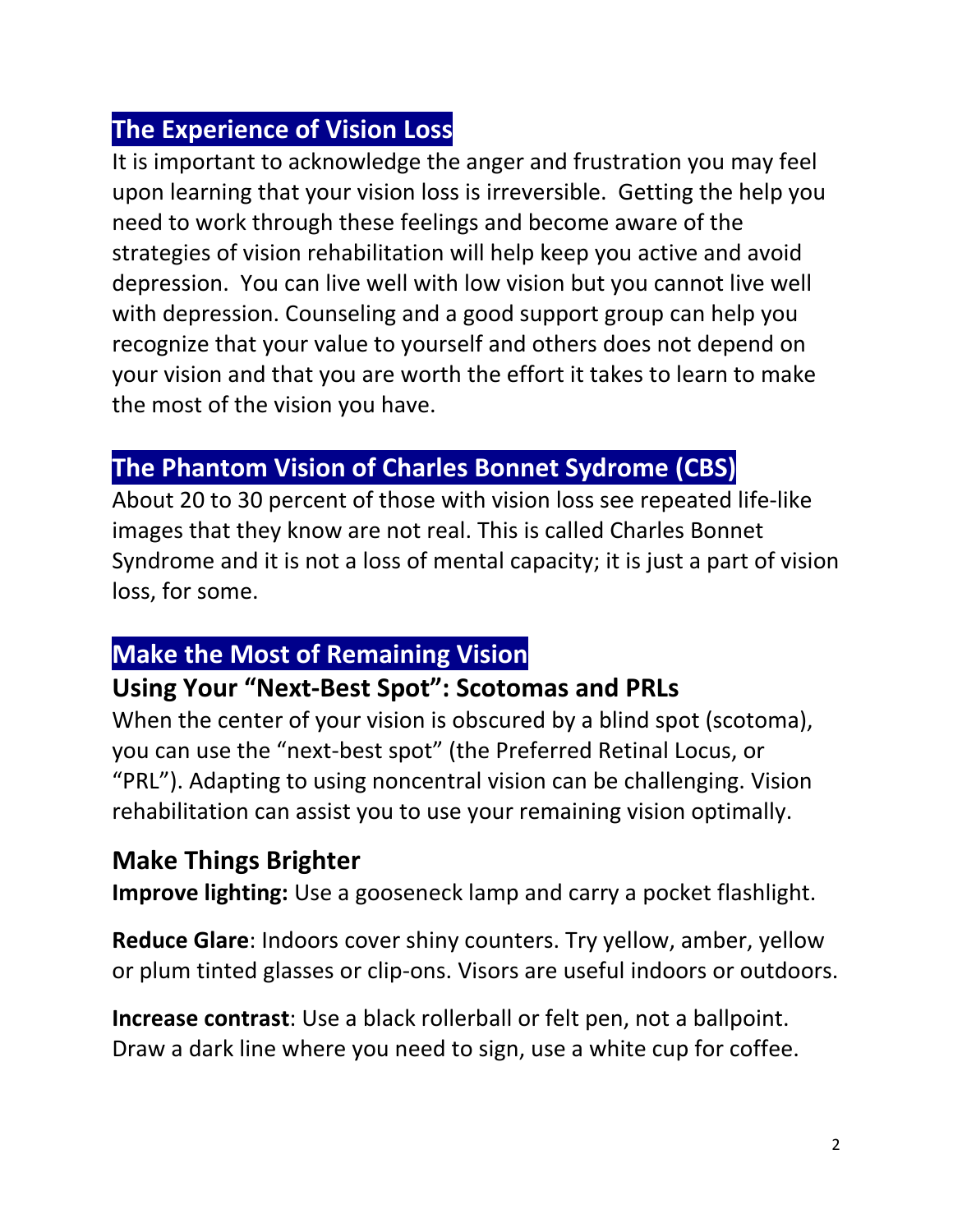# **The Experience of Vision Loss**

It is important to acknowledge the anger and frustration you may feel upon learning that your vision loss is irreversible. Getting the help you need to work through these feelings and become aware of the strategies of vision rehabilitation will help keep you active and avoid depression. You can live well with low vision but you cannot live well with depression. Counseling and a good support group can help you recognize that your value to yourself and others does not depend on your vision and that you are worth the effort it takes to learn to make the most of the vision you have.

## **The Phantom Vision of Charles Bonnet Sydrome (CBS)**

About 20 to 30 percent of those with vision loss see repeated life-like images that they know are not real. This is called Charles Bonnet Syndrome and it is not a loss of mental capacity; it is just a part of vision loss, for some.

## **Make the Most of Remaining Vision**

#### **Using Your "Next-Best Spot": Scotomas and PRLs**

When the center of your vision is obscured by a blind spot (scotoma), you can use the "next-best spot" (the Preferred Retinal Locus, or "PRL"). Adapting to using noncentral vision can be challenging. Vision rehabilitation can assist you to use your remaining vision optimally.

## **Make Things Brighter**

**Improve lighting:** Use a gooseneck lamp and carry a pocket flashlight.

**Reduce Glare**: Indoors cover shiny counters. Try yellow, amber, yellow or plum tinted glasses or clip-ons. Visors are useful indoors or outdoors.

**Increase contrast**: Use a black rollerball or felt pen, not a ballpoint. Draw a dark line where you need to sign, use a white cup for coffee.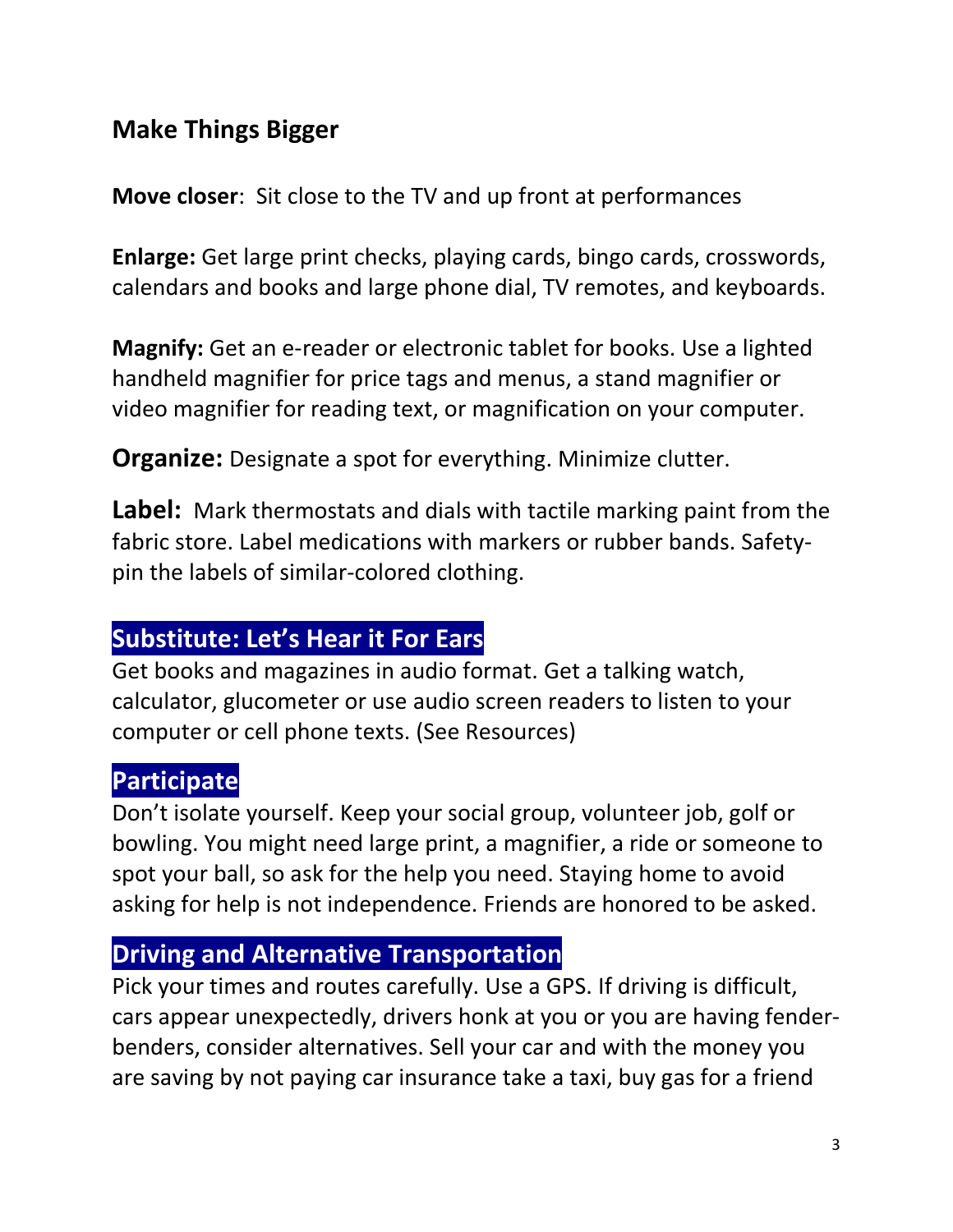## **Make Things Bigger**

**Move closer**: Sit close to the TV and up front at performances

**Enlarge:** Get large print checks, playing cards, bingo cards, crosswords, calendars and books and large phone dial, TV remotes, and keyboards.

**Magnify:** Get an e-reader or electronic tablet for books. Use a lighted handheld magnifier for price tags and menus, a stand magnifier or video magnifier for reading text, or magnification on your computer.

**Organize:** Designate a spot for everything. Minimize clutter.

**Label:** Mark thermostats and dials with tactile marking paint from the fabric store. Label medications with markers or rubber bands. Safetypin the labels of similar-colored clothing.

## **Substitute: Let's Hear it For Ears**

Get books and magazines in audio format. Get a talking watch, calculator, glucometer or use audio screen readers to listen to your computer or cell phone texts. (See Resources)

# **Participate**

Don't isolate yourself. Keep your social group, volunteer job, golf or bowling. You might need large print, a magnifier, a ride or someone to spot your ball, so ask for the help you need. Staying home to avoid asking for help is not independence. Friends are honored to be asked.

# **Driving and Alternative Transportation**

Pick your times and routes carefully. Use a GPS. If driving is difficult, cars appear unexpectedly, drivers honk at you or you are having fenderbenders, consider alternatives. Sell your car and with the money you are saving by not paying car insurance take a taxi, buy gas for a friend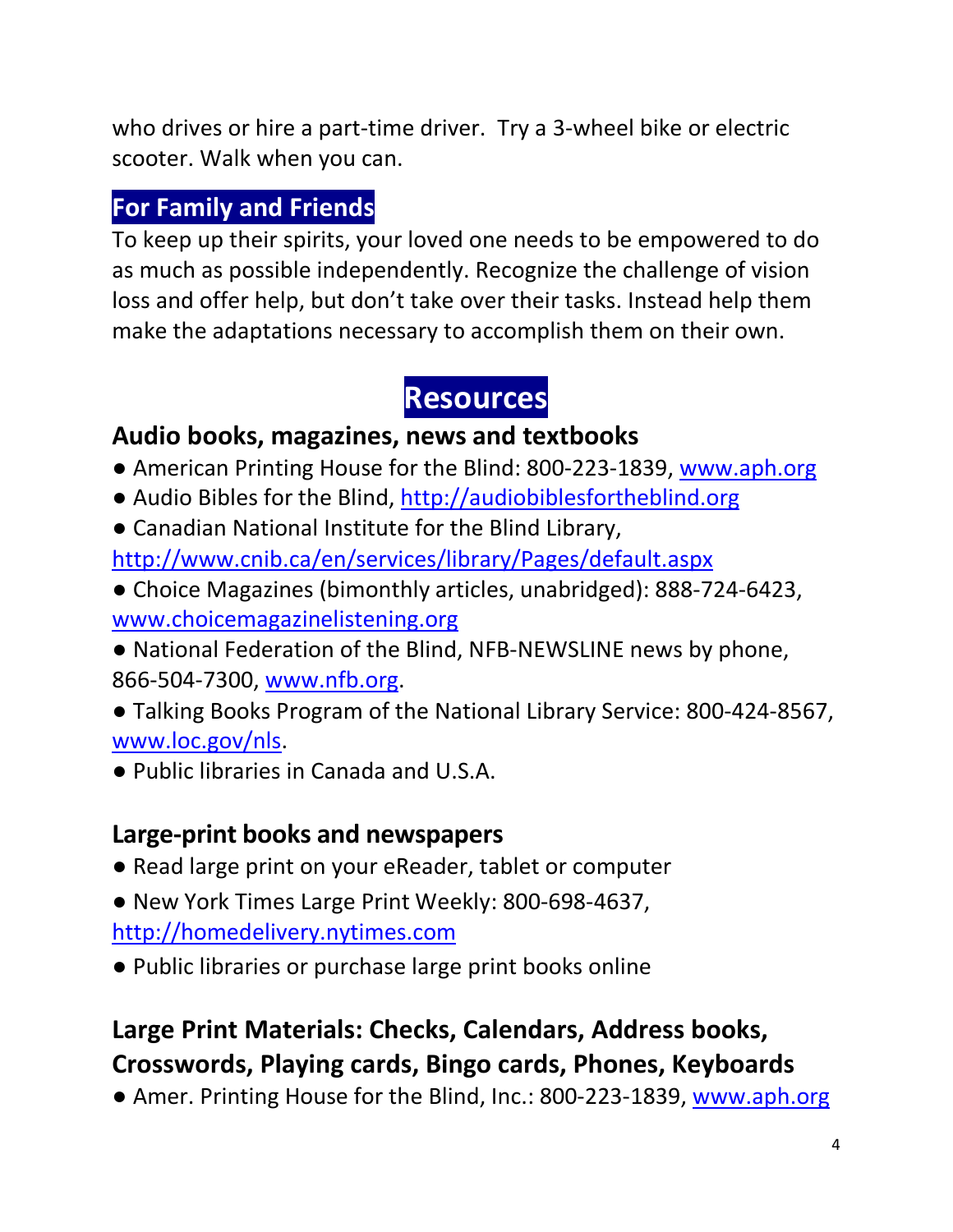who drives or hire a part-time driver. Try a 3-wheel bike or electric scooter. Walk when you can.

# **For Family and Friends**

To keep up their spirits, your loved one needs to be empowered to do as much as possible independently. Recognize the challenge of vision loss and offer help, but don't take over their tasks. Instead help them make the adaptations necessary to accomplish them on their own.

# **Resources**

## **Audio books, magazines, news and textbooks**

- American Printing House for the Blind: 800-223-1839, [www.aph.org](http://www.aph.org/)
- Audio Bibles for the Blind, [http://audiobiblesfortheblind.org](http://audiobiblesfortheblind.org/)
- Canadian National Institute for the Blind Library,

<http://www.cnib.ca/en/services/library/Pages/default.aspx>

- Choice Magazines (bimonthly articles, unabridged): 888-724-6423, [www.choicemagazinelistening.org](http://www.choicemagazinelistening.org/)
- National Federation of the Blind, NFB-NEWSLINE news by phone, 866-504-7300, [www.nfb.org.](http://www.nfb.org/)
- Talking Books Program of the National Library Service: 800-424-8567, [www.loc.gov/nls.](http://www.loc.gov/nls)
- Public libraries in Canada and U.S.A.

## **Large-print books and newspapers**

- Read large print on your eReader, tablet or computer
- New York Times Large Print Weekly: 800-698-4637, [http://homedelivery.nytimes.com](http://homedelivery.nytimes.com/)
- Public libraries or purchase large print books online

# **Large Print Materials: Checks, Calendars, Address books, Crosswords, Playing cards, Bingo cards, Phones, Keyboards**

● Amer. Printing House for the Blind, Inc.: 800-223-1839, [www.aph.org](http://www.aph.org/)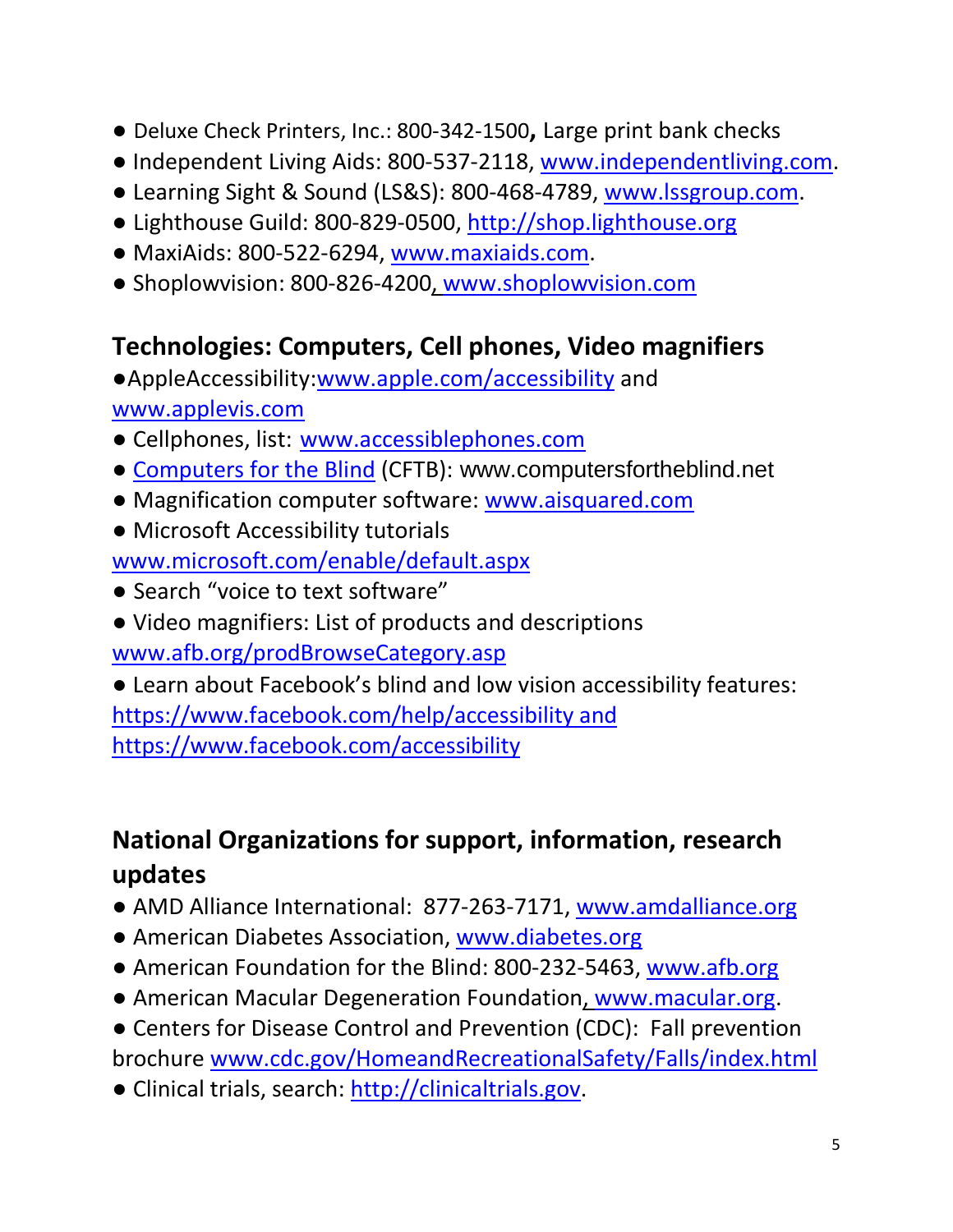- Deluxe Check Printers, Inc.: 800-342-1500**,** Large print bank checks
- Independent Living Aids: 800-537-2118, [www.independentliving.com.](http://www.independentliving.com/)
- Learning Sight & Sound (LS&S): 800-468-4789, [www.lssgroup.com.](http://www.lssgroup.com/)
- Lighthouse Guild: 800-829-0500, [http://shop.lighthouse.org](http://shop.lighthouse.org/)
- MaxiAids: 800-522-6294, [www.maxiaids.com.](http://www.maxiaids.com/)
- Shoplowvision: 800-826-4200, [www.shoplowvision.com](http://www.shoplowvision.com/)

# **Technologies: Computers, Cell phones, Video magnifiers**

●AppleAccessibility[:www.apple.com/accessibility](http://www.apple.com/accessibility) and [www.applevis.com](http://www.applevis.com/)

- Cellphones, list: [www.accessiblephones.com](http://www.accessiblephones.com/)
- [Computers for the Blind](http://www.visionaware.org/directory/profile/computers-for-the-blind/12) (CFTB): www.computersfortheblind.net
- Magnification computer software: [www.aisquared.com](http://www.aisquared.com/)
- Microsoft Accessibility tutorials

[www.microsoft.com/enable/default.aspx](http://www.microsoft.com/enable/default.aspx)

- Search "voice to text software"
- Video magnifiers: List of products and descriptions [www.afb.org/prodBrowseCategory.asp](http://www.afb.org/ProdBrowseCatResults.asp?CatID=53)

● Learn about Facebook's blind and low vision accessibility features: https://www.facebook.com/help/accessibility and https://www.facebook.com/accessibility

# **National Organizations for support, information, research updates**

- AMD Alliance International: 877-263-7171, [www.amdalliance.org](http://www.amdalliance.org/)
- American Diabetes Association, [www.diabetes.org](http://www.diabetes.org/)
- American Foundation for the Blind: 800-232-5463, [www.afb.org](http://www.afb.org/)
- American Macular Degeneration Foundation, [www.macular.org.](http://www.macular.org/)
- Centers for Disease Control and Prevention (CDC): Fall prevention brochure [www.cdc.gov/HomeandRecreationalSafety/Falls/index.html](http://www.cdc.gov/HomeandRecreationalSafety/Falls/index.html)
- Clinical trials, search: [http://clinicaltrials.gov.](http://clinicaltrials.gov/)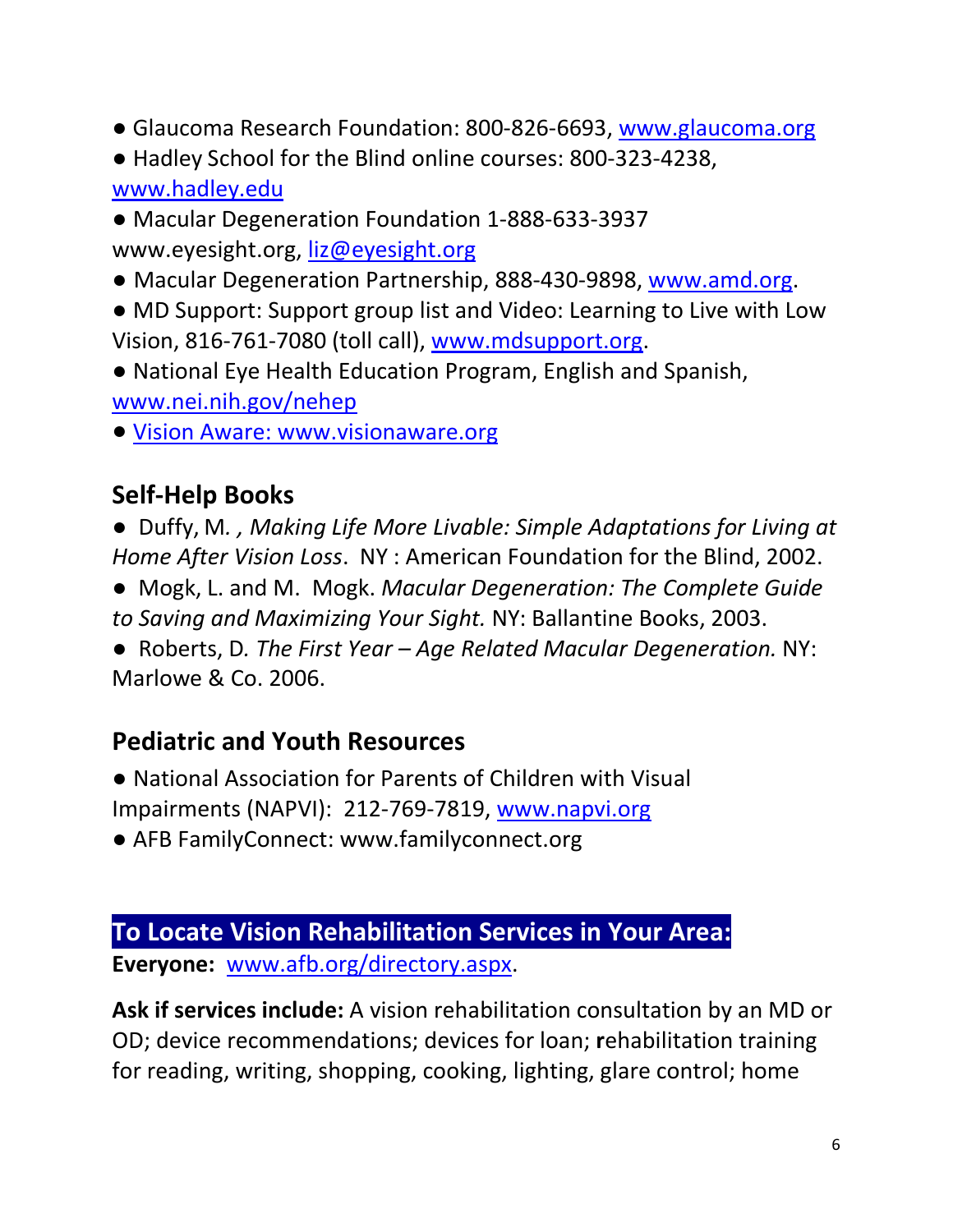- Glaucoma Research Foundation: 800-826-6693, [www.glaucoma.org](http://www.glaucoma.org/)
- Hadley School for the Blind online courses: 800-323-4238, [www.hadley.edu](http://www.hadley.edu/)
- Macular Degeneration Foundation 1-888-633-3937 www.eyesight.org, [liz@eyesight.org](mailto:liz@eyesight.org)
- Macular Degeneration Partnership, 888-430-9898, [www.amd.org.](http://www.amd.org/)
- MD Support: Support group list and Video: Learning to Live with Low Vision, 816-761-7080 (toll call), [www.mdsupport.org.](http://www.mdsupport.org/)
- National Eye Health Education Program, English and Spanish, [www.nei.nih.gov/nehep](http://www.nei.nih.gov/nehep)
- Vision Aware: www.visionaware.org

## **Self-Help Books**

● Duffy, M*. , Making Life More Livable: Simple Adaptations for Living at Home After Vision Loss*. NY : American Foundation for the Blind, 2002.

● Mogk, L. and M. Mogk. *Macular Degeneration: The Complete Guide to Saving and Maximizing Your Sight.* NY: Ballantine Books, 2003.

● Roberts, D*. The First Year – Age Related Macular Degeneration.* NY: Marlowe & Co. 2006.

## **Pediatric and Youth Resources**

- National Association for Parents of Children with Visual
- Impairments (NAPVI): 212-769-7819, [www.napvi.org](http://www.napvi.org/)
- AFB FamilyConnect: www.familyconnect.org

## **To Locate Vision Rehabilitation Services in Your Area: Everyone:** [www.afb.org/directory.aspx.](http://www.afb.org/directory.aspx)

**Ask if services include:** A vision rehabilitation consultation by an MD or OD; device recommendations; devices for loan; **r**ehabilitation training for reading, writing, shopping, cooking, lighting, glare control; home